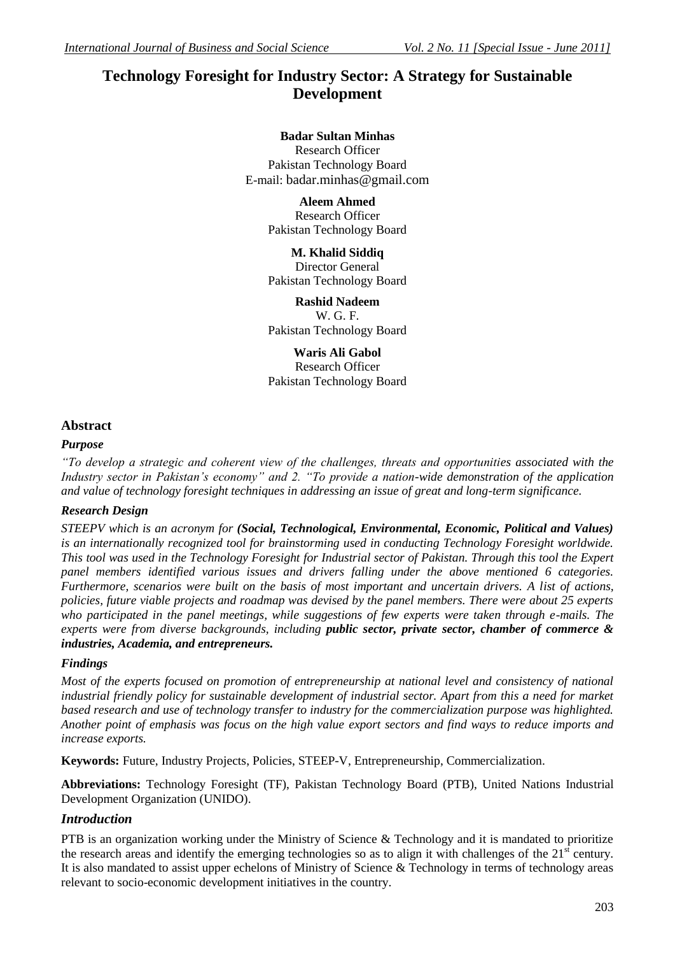# **Technology Foresight for Industry Sector: A Strategy for Sustainable Development**

## **Badar Sultan Minhas**

Research Officer Pakistan Technology Board E-mail: badar.minhas@gmail.com

> **Aleem Ahmed** Research Officer Pakistan Technology Board

> **M. Khalid Siddiq** Director General Pakistan Technology Board

> **Rashid Nadeem** W. G. F. Pakistan Technology Board

> **Waris Ali Gabol** Research Officer Pakistan Technology Board

## **Abstract**

## *Purpose*

*"To develop a strategic and coherent view of the challenges, threats and opportunities associated with the Industry sector in Pakistan's economy" and 2. "To provide a nation-wide demonstration of the application and value of technology foresight techniques in addressing an issue of great and long-term significance.* 

## *Research Design*

*STEEPV which is an acronym for (Social, Technological, Environmental, Economic, Political and Values) is an internationally recognized tool for brainstorming used in conducting Technology Foresight worldwide. This tool was used in the Technology Foresight for Industrial sector of Pakistan. Through this tool the Expert panel members identified various issues and drivers falling under the above mentioned 6 categories. Furthermore, scenarios were built on the basis of most important and uncertain drivers. A list of actions, policies, future viable projects and roadmap was devised by the panel members. There were about 25 experts who participated in the panel meetings, while suggestions of few experts were taken through e-mails. The experts were from diverse backgrounds, including public sector, private sector, chamber of commerce & industries, Academia, and entrepreneurs.* 

## *Findings*

*Most of the experts focused on promotion of entrepreneurship at national level and consistency of national industrial friendly policy for sustainable development of industrial sector. Apart from this a need for market based research and use of technology transfer to industry for the commercialization purpose was highlighted. Another point of emphasis was focus on the high value export sectors and find ways to reduce imports and increase exports.*

**Keywords:** Future, Industry Projects, Policies, STEEP-V, Entrepreneurship, Commercialization.

**Abbreviations:** Technology Foresight (TF), Pakistan Technology Board (PTB), United Nations Industrial Development Organization (UNIDO).

## *Introduction*

PTB is an organization working under the Ministry of Science & Technology and it is mandated to prioritize the research areas and identify the emerging technologies so as to align it with challenges of the 21<sup>st</sup> century. It is also mandated to assist upper echelons of Ministry of Science & Technology in terms of technology areas relevant to socio-economic development initiatives in the country.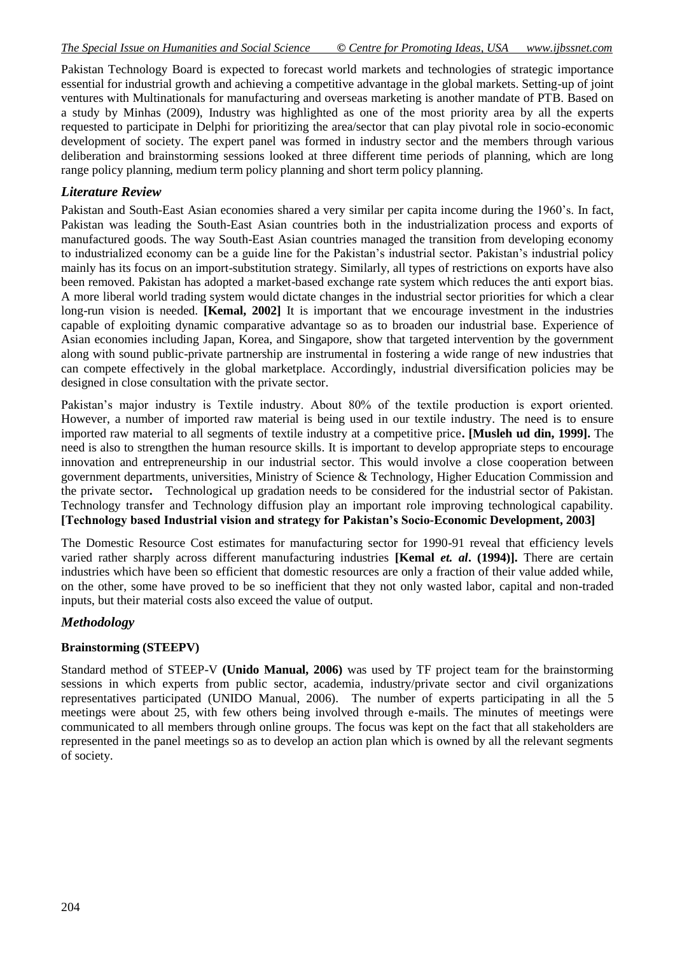### *The Special Issue on Humanities and Social Science © Centre for Promoting Ideas, USA www.ijbssnet.com*

Pakistan Technology Board is expected to forecast world markets and technologies of strategic importance essential for industrial growth and achieving a competitive advantage in the global markets. Setting-up of joint ventures with Multinationals for manufacturing and overseas marketing is another mandate of PTB. Based on a study by Minhas (2009), Industry was highlighted as one of the most priority area by all the experts requested to participate in Delphi for prioritizing the area/sector that can play pivotal role in socio-economic development of society. The expert panel was formed in industry sector and the members through various deliberation and brainstorming sessions looked at three different time periods of planning, which are long range policy planning, medium term policy planning and short term policy planning.

## *Literature Review*

Pakistan and South-East Asian economies shared a very similar per capita income during the 1960's. In fact, Pakistan was leading the South-East Asian countries both in the industrialization process and exports of manufactured goods. The way South-East Asian countries managed the transition from developing economy to industrialized economy can be a guide line for the Pakistan's industrial sector. Pakistan's industrial policy mainly has its focus on an import-substitution strategy. Similarly, all types of restrictions on exports have also been removed. Pakistan has adopted a market-based exchange rate system which reduces the anti export bias. A more liberal world trading system would dictate changes in the industrial sector priorities for which a clear long-run vision is needed. **[Kemal, 2002]** It is important that we encourage investment in the industries capable of exploiting dynamic comparative advantage so as to broaden our industrial base. Experience of Asian economies including Japan, Korea, and Singapore, show that targeted intervention by the government along with sound public-private partnership are instrumental in fostering a wide range of new industries that can compete effectively in the global marketplace. Accordingly, industrial diversification policies may be designed in close consultation with the private sector.

Pakistan's major industry is Textile industry. About 80% of the textile production is export oriented. However, a number of imported raw material is being used in our textile industry. The need is to ensure imported raw material to all segments of textile industry at a competitive price**. [Musleh ud din, 1999].** The need is also to strengthen the human resource skills. It is important to develop appropriate steps to encourage innovation and entrepreneurship in our industrial sector. This would involve a close cooperation between government departments, universities, Ministry of Science & Technology, Higher Education Commission and the private sector**.** Technological up gradation needs to be considered for the industrial sector of Pakistan. Technology transfer and Technology diffusion play an important role improving technological capability. **[Technology based Industrial vision and strategy for Pakistan's Socio-Economic Development, 2003]**

The Domestic Resource Cost estimates for manufacturing sector for 1990-91 reveal that efficiency levels varied rather sharply across different manufacturing industries **[Kemal** *et. al***. (1994)].** There are certain industries which have been so efficient that domestic resources are only a fraction of their value added while, on the other, some have proved to be so inefficient that they not only wasted labor, capital and non-traded inputs, but their material costs also exceed the value of output.

## *Methodology*

#### **Brainstorming (STEEPV)**

Standard method of STEEP-V **(Unido Manual, 2006)** was used by TF project team for the brainstorming sessions in which experts from public sector, academia, industry/private sector and civil organizations representatives participated (UNIDO Manual, 2006). The number of experts participating in all the 5 meetings were about 25, with few others being involved through e-mails. The minutes of meetings were communicated to all members through online groups. The focus was kept on the fact that all stakeholders are represented in the panel meetings so as to develop an action plan which is owned by all the relevant segments of society.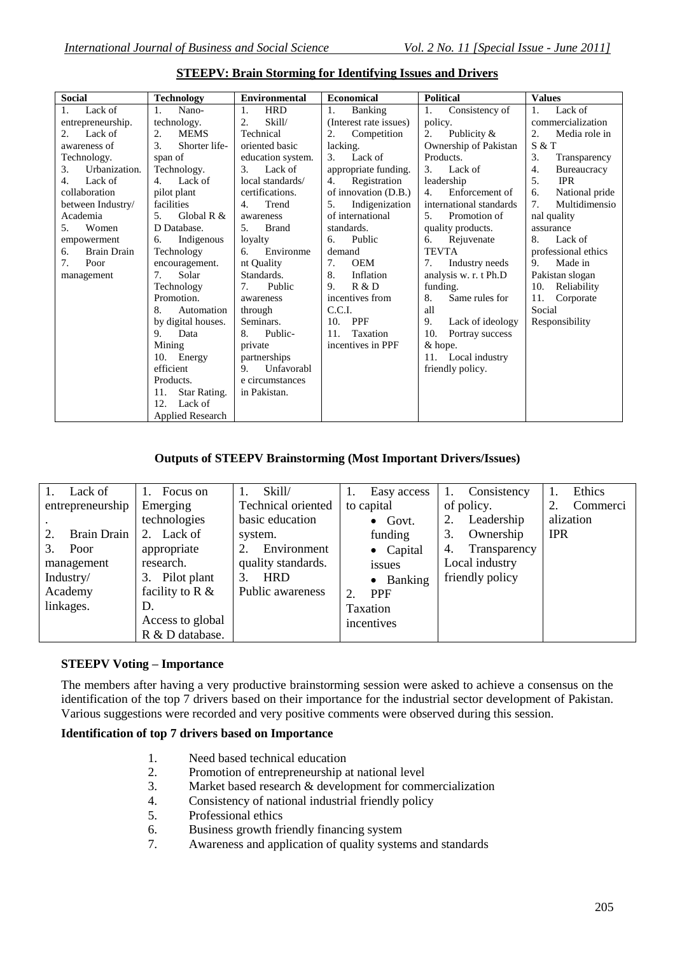| <b>Social</b>            | <b>Technology</b>       | <b>Environmental</b>                      | <b>Economical</b>      | <b>Political</b>        | <b>Values</b>            |
|--------------------------|-------------------------|-------------------------------------------|------------------------|-------------------------|--------------------------|
| Lack of<br>1.            | Nano-<br>1.             | <b>HRD</b><br>1.                          | 1.<br>Banking          | 1.<br>Consistency of    | Lack of                  |
| entrepreneurship.        | technology.             | Skill/<br>2.                              | (Interest rate issues) | policy.                 | commercialization        |
| Lack of                  | 2.<br><b>MEMS</b>       | Technical                                 | 2.<br>Competition      | Publicity &<br>2.       | Media role in<br>2.      |
| awareness of             | 3.<br>Shorter life-     | oriented basic                            | lacking.               | Ownership of Pakistan   | S & T                    |
| Technology.              | span of                 | education system.                         | 3.<br>Lack of          | Products.               | 3.<br>Transparency       |
| Urbanization.<br>3.      | Technology.             | Lack of<br>3.                             | appropriate funding.   | 3.<br>Lack of           | 4.<br><b>Bureaucracy</b> |
| Lack of<br>4.            | Lack of<br>4.           | local standards/                          | Registration<br>4.     | leadership              | 5.<br><b>IPR</b>         |
| collaboration            | pilot plant             | certifications.                           | of innovation (D.B.)   | Enforcement of<br>4.    | б.<br>National pride     |
| between Industry/        | facilities              | Trend<br>4.                               | Indigenization<br>5.   | international standards | 7.<br>Multidimensio      |
| Academia                 | Global R $&$<br>5.      | awareness                                 | of international       | 5.<br>Promotion of      | nal quality              |
| Women<br>5.              | D Database.             | <b>Brand</b><br>.5.                       | standards.             | quality products.       | assurance                |
| empowerment              | Indigenous<br>6.        | loyalty                                   | Public<br>6.           | 6.<br>Rejuvenate        | 8.<br>Lack of            |
| <b>Brain Drain</b><br>6. | Technology              | Environme<br>6.                           | demand                 | <b>TEVTA</b>            | professional ethics      |
| Poor<br>7.               | encouragement.          | nt Quality                                | <b>OEM</b><br>7.       | Industry needs          | 9.<br>Made in            |
| management               | Solar<br>7.             | Standards.                                | Inflation<br>8.        | analysis w. r. t Ph.D   | Pakistan slogan          |
|                          | Technology              | Public<br>$7_{\scriptscriptstyle{\circ}}$ | R & D<br>9.            | funding.                | 10.<br>Reliability       |
|                          | Promotion.              | awareness                                 | incentives from        | 8.<br>Same rules for    | 11. Corporate            |
|                          | 8.<br>Automation        | through                                   | C.C.I.                 | all                     | Social                   |
|                          | by digital houses.      | Seminars.                                 | <b>PPF</b><br>10.      | 9.<br>Lack of ideology  | Responsibility           |
|                          | 9.<br>Data              | Public-<br>8.                             | Taxation<br>11.        | 10.<br>Portray success  |                          |
|                          | Mining                  | private                                   | incentives in PPF      | & hope.                 |                          |
|                          | Energy<br>10.           | partnerships                              |                        | 11. Local industry      |                          |
|                          | efficient               | Unfavorabl<br>$\mathbf{Q}_{\perp}$        |                        | friendly policy.        |                          |
|                          | Products.               | e circumstances                           |                        |                         |                          |
|                          | Star Rating.<br>11.     | in Pakistan.                              |                        |                         |                          |
|                          | Lack of<br>12.          |                                           |                        |                         |                          |
|                          | <b>Applied Research</b> |                                           |                        |                         |                          |

#### **STEEPV: Brain Storming for Identifying Issues and Drivers**

### **Outputs of STEEPV Brainstorming (Most Important Drivers/Issues)**

| Lack of<br>entrepreneurship<br>Brain Drain<br>Poor<br>3.<br>management<br>Industry/<br>Academy<br>linkages. | Focus on<br>Emerging<br>technologies<br>Lack of<br>2.<br>appropriate<br>research.<br>Pilot plant<br>3.<br>facility to R $\&$<br>D.<br>Access to global<br>R & D database. | Skill/<br>Technical oriented<br>basic education<br>system.<br>Environment<br>quality standards.<br><b>HRD</b><br>3.<br>Public awareness | Easy access<br>to capital<br>$\bullet$ Govt.<br>funding<br>$\bullet$ Capital<br>issues<br>• Banking<br><b>PPF</b><br>$\mathcal{D}$<br><b>Taxation</b><br>incentives | Consistency<br>of policy.<br>Leadership<br>Ownership<br>3.<br>Transparency<br>4.<br>Local industry<br>friendly policy | Ethics<br>Commerci<br>2.<br>alization<br><b>IPR</b> |
|-------------------------------------------------------------------------------------------------------------|---------------------------------------------------------------------------------------------------------------------------------------------------------------------------|-----------------------------------------------------------------------------------------------------------------------------------------|---------------------------------------------------------------------------------------------------------------------------------------------------------------------|-----------------------------------------------------------------------------------------------------------------------|-----------------------------------------------------|
|-------------------------------------------------------------------------------------------------------------|---------------------------------------------------------------------------------------------------------------------------------------------------------------------------|-----------------------------------------------------------------------------------------------------------------------------------------|---------------------------------------------------------------------------------------------------------------------------------------------------------------------|-----------------------------------------------------------------------------------------------------------------------|-----------------------------------------------------|

#### **STEEPV Voting – Importance**

The members after having a very productive brainstorming session were asked to achieve a consensus on the identification of the top 7 drivers based on their importance for the industrial sector development of Pakistan. Various suggestions were recorded and very positive comments were observed during this session.

## **Identification of top 7 drivers based on Importance**

- 1. Need based technical education
- 2. Promotion of entrepreneurship at national level
- 3. Market based research & development for commercialization
- 4. Consistency of national industrial friendly policy
- 5. Professional ethics
- 6. Business growth friendly financing system
- 7. Awareness and application of quality systems and standards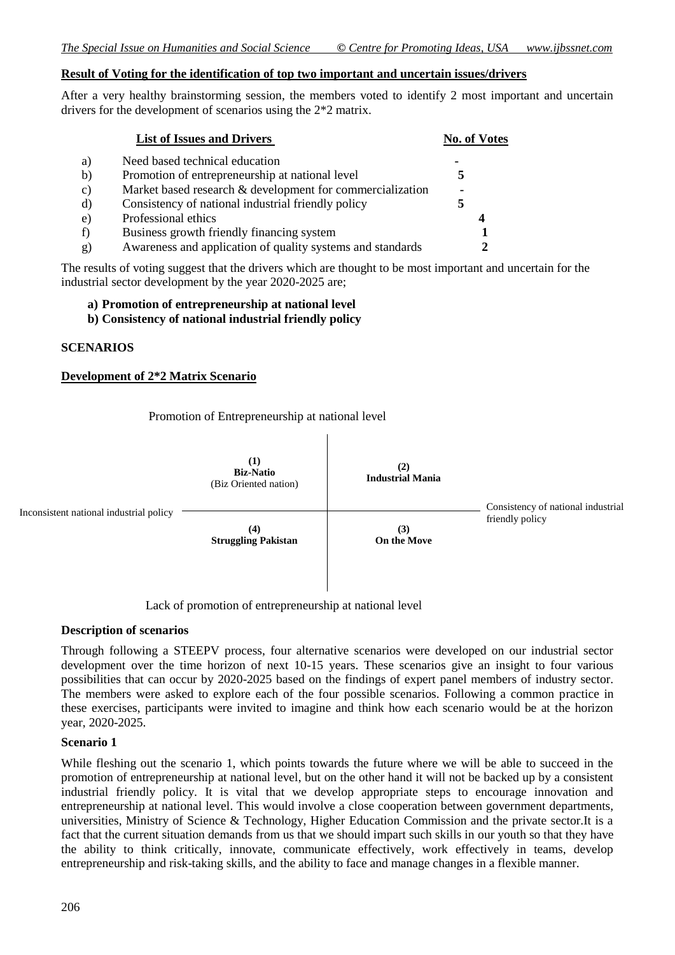#### **Result of Voting for the identification of top two important and uncertain issues/drivers**

After a very healthy brainstorming session, the members voted to identify 2 most important and uncertain drivers for the development of scenarios using the 2\*2 matrix.

|    | <b>List of Issues and Drivers</b>                          | <b>No. of Votes</b> |
|----|------------------------------------------------------------|---------------------|
| a) | Need based technical education                             |                     |
| b) | Promotion of entrepreneurship at national level            |                     |
| C) | Market based research & development for commercialization  |                     |
| d) | Consistency of national industrial friendly policy         |                     |
| e) | Professional ethics                                        |                     |
| f) | Business growth friendly financing system                  |                     |
| g) | Awareness and application of quality systems and standards |                     |

The results of voting suggest that the drivers which are thought to be most important and uncertain for the industrial sector development by the year 2020-2025 are;

#### **a) Promotion of entrepreneurship at national level**

**b) Consistency of national industrial friendly policy** 

#### **SCENARIOS**

#### **Development of 2\*2 Matrix Scenario**

Promotion of Entrepreneurship at national level



Lack of promotion of entrepreneurship at national level

#### **Description of scenarios**

Through following a STEEPV process, four alternative scenarios were developed on our industrial sector development over the time horizon of next 10-15 years. These scenarios give an insight to four various possibilities that can occur by 2020-2025 based on the findings of expert panel members of industry sector. The members were asked to explore each of the four possible scenarios. Following a common practice in these exercises, participants were invited to imagine and think how each scenario would be at the horizon year, 2020-2025.

#### **Scenario 1**

While fleshing out the scenario 1, which points towards the future where we will be able to succeed in the promotion of entrepreneurship at national level, but on the other hand it will not be backed up by a consistent industrial friendly policy. It is vital that we develop appropriate steps to encourage innovation and entrepreneurship at national level. This would involve a close cooperation between government departments, universities, Ministry of Science & Technology, Higher Education Commission and the private sector.It is a fact that the current situation demands from us that we should impart such skills in our youth so that they have the ability to think critically, innovate, communicate effectively, work effectively in teams, develop entrepreneurship and risk-taking skills, and the ability to face and manage changes in a flexible manner.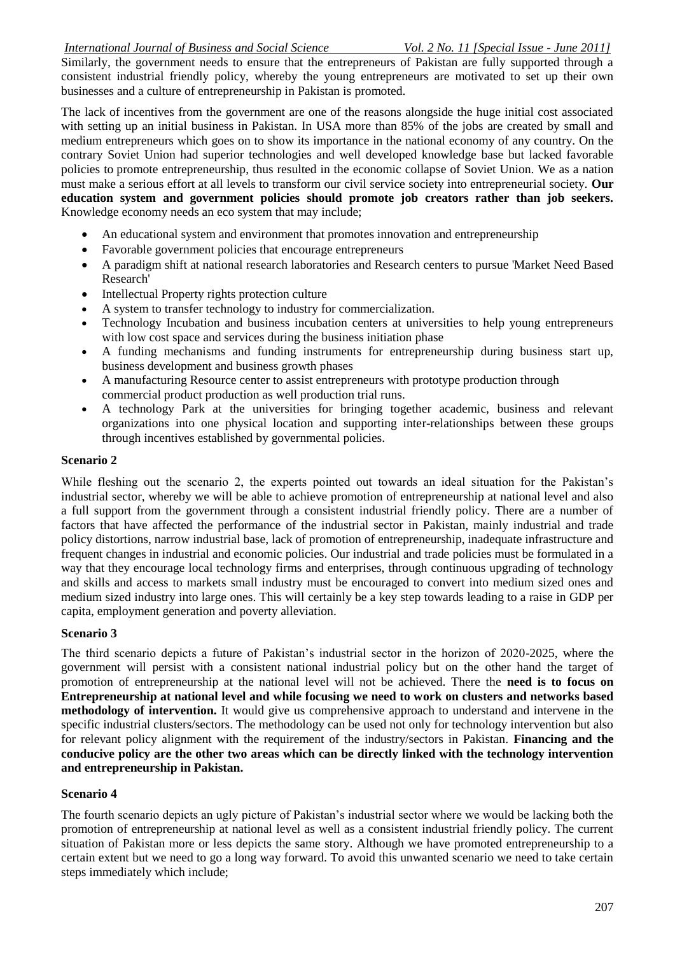Similarly, the government needs to ensure that the entrepreneurs of Pakistan are fully supported through a consistent industrial friendly policy, whereby the young entrepreneurs are motivated to set up their own businesses and a culture of entrepreneurship in Pakistan is promoted.

The lack of incentives from the government are one of the reasons alongside the huge initial cost associated with setting up an initial business in Pakistan. In USA more than 85% of the jobs are created by small and medium entrepreneurs which goes on to show its importance in the national economy of any country. On the contrary Soviet Union had superior technologies and well developed knowledge base but lacked favorable policies to promote entrepreneurship, thus resulted in the economic collapse of Soviet Union. We as a nation must make a serious effort at all levels to transform our civil service society into entrepreneurial society. **Our education system and government policies should promote job creators rather than job seekers.** Knowledge economy needs an eco system that may include;

- An educational system and environment that promotes innovation and entrepreneurship
- Favorable government policies that encourage entrepreneurs
- A paradigm shift at national research laboratories and Research centers to pursue 'Market Need Based Research'
- Intellectual Property rights protection culture
- A system to transfer technology to industry for commercialization.
- Technology Incubation and business incubation centers at universities to help young entrepreneurs with low cost space and services during the business initiation phase
- A funding mechanisms and funding instruments for entrepreneurship during business start up, business development and business growth phases
- A manufacturing Resource center to assist entrepreneurs with prototype production through commercial product production as well production trial runs.
- A technology Park at the universities for bringing together academic, business and relevant organizations into one physical location and supporting inter-relationships between these groups through incentives established by governmental policies.

## **Scenario 2**

While fleshing out the scenario 2, the experts pointed out towards an ideal situation for the Pakistan's industrial sector, whereby we will be able to achieve promotion of entrepreneurship at national level and also a full support from the government through a consistent industrial friendly policy. There are a number of factors that have affected the performance of the industrial sector in Pakistan, mainly industrial and trade policy distortions, narrow industrial base, lack of promotion of entrepreneurship, inadequate infrastructure and frequent changes in industrial and economic policies. Our industrial and trade policies must be formulated in a way that they encourage local technology firms and enterprises, through continuous upgrading of technology and skills and access to markets small industry must be encouraged to convert into medium sized ones and medium sized industry into large ones. This will certainly be a key step towards leading to a raise in GDP per capita, employment generation and poverty alleviation.

## **Scenario 3**

The third scenario depicts a future of Pakistan's industrial sector in the horizon of 2020-2025, where the government will persist with a consistent national industrial policy but on the other hand the target of promotion of entrepreneurship at the national level will not be achieved. There the **need is to focus on Entrepreneurship at national level and while focusing we need to work on clusters and networks based methodology of intervention.** It would give us comprehensive approach to understand and intervene in the specific industrial clusters/sectors. The methodology can be used not only for technology intervention but also for relevant policy alignment with the requirement of the industry/sectors in Pakistan. **Financing and the conducive policy are the other two areas which can be directly linked with the technology intervention and entrepreneurship in Pakistan.**

## **Scenario 4**

The fourth scenario depicts an ugly picture of Pakistan's industrial sector where we would be lacking both the promotion of entrepreneurship at national level as well as a consistent industrial friendly policy. The current situation of Pakistan more or less depicts the same story. Although we have promoted entrepreneurship to a certain extent but we need to go a long way forward. To avoid this unwanted scenario we need to take certain steps immediately which include;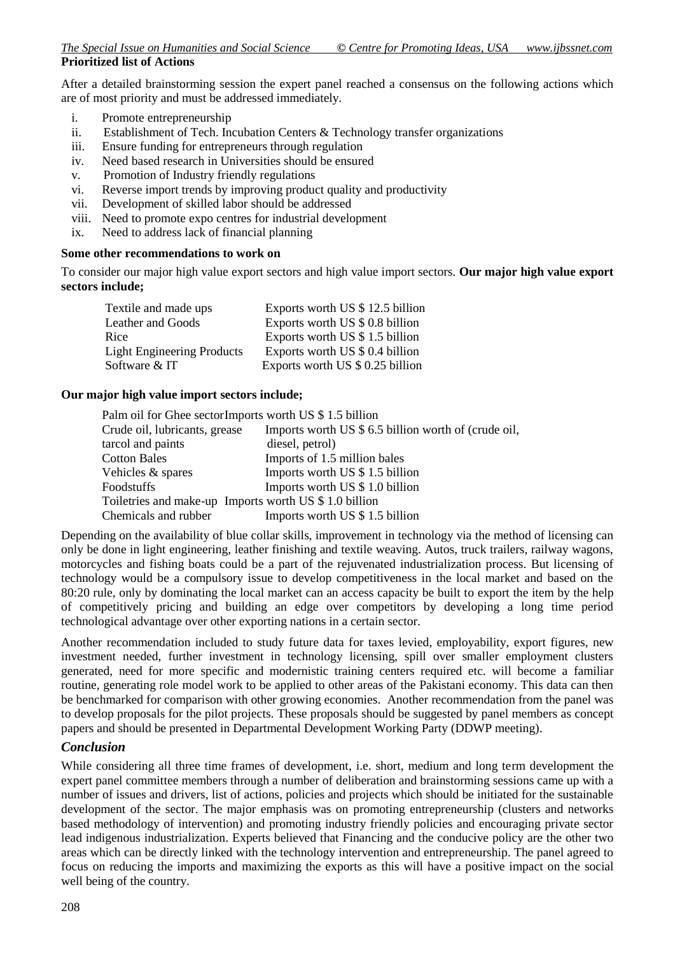After a detailed brainstorming session the expert panel reached a consensus on the following actions which are of most priority and must be addressed immediately.

- i. Promote entrepreneurship
- ii. Establishment of Tech. Incubation Centers & Technology transfer organizations
- iii. Ensure funding for entrepreneurs through regulation
- iv. Need based research in Universities should be ensured
- v. Promotion of Industry friendly regulations
- vi. Reverse import trends by improving product quality and productivity
- vii. Development of skilled labor should be addressed
- viii. Need to promote expo centres for industrial development
- ix. Need to address lack of financial planning

#### **Some other recommendations to work on**

To consider our major high value export sectors and high value import sectors. **Our major high value export sectors include;**

| Textile and made ups              | Exports worth US \$ 12.5 billion |
|-----------------------------------|----------------------------------|
| Leather and Goods                 | Exports worth US \$ 0.8 billion  |
| Rice                              | Exports worth US \$ 1.5 billion  |
| <b>Light Engineering Products</b> | Exports worth US \$ 0.4 billion  |
| Software & IT                     | Exports worth US \$ 0.25 billion |

### **Our major high value import sectors include;**

| Palm oil for Ghee sector Imports worth US \$1.5 billion |                                                      |
|---------------------------------------------------------|------------------------------------------------------|
| Crude oil, lubricants, grease                           | Imports worth US \$ 6.5 billion worth of (crude oil, |
| tarcol and paints                                       | diesel, petrol)                                      |
| <b>Cotton Bales</b>                                     | Imports of 1.5 million bales                         |
| Vehicles & spares                                       | Imports worth US \$1.5 billion                       |
| <b>Foodstuffs</b>                                       | Imports worth US \$1.0 billion                       |
| Toiletries and make-up Imports worth US \$1.0 billion   |                                                      |
| Chemicals and rubber                                    | Imports worth US \$1.5 billion                       |

Depending on the availability of blue collar skills, improvement in technology via the method of licensing can only be done in light engineering, leather finishing and textile weaving. Autos, truck trailers, railway wagons, motorcycles and fishing boats could be a part of the rejuvenated industrialization process. But licensing of technology would be a compulsory issue to develop competitiveness in the local market and based on the 80:20 rule, only by dominating the local market can an access capacity be built to export the item by the help of competitively pricing and building an edge over competitors by developing a long time period technological advantage over other exporting nations in a certain sector.

Another recommendation included to study future data for taxes levied, employability, export figures, new investment needed, further investment in technology licensing, spill over smaller employment clusters generated, need for more specific and modernistic training centers required etc. will become a familiar routine, generating role model work to be applied to other areas of the Pakistani economy. This data can then be benchmarked for comparison with other growing economies. Another recommendation from the panel was to develop proposals for the pilot projects. These proposals should be suggested by panel members as concept papers and should be presented in Departmental Development Working Party (DDWP meeting).

## *Conclusion*

While considering all three time frames of development, i.e. short, medium and long term development the expert panel committee members through a number of deliberation and brainstorming sessions came up with a number of issues and drivers, list of actions, policies and projects which should be initiated for the sustainable development of the sector. The major emphasis was on promoting entrepreneurship (clusters and networks based methodology of intervention) and promoting industry friendly policies and encouraging private sector lead indigenous industrialization. Experts believed that Financing and the conducive policy are the other two areas which can be directly linked with the technology intervention and entrepreneurship. The panel agreed to focus on reducing the imports and maximizing the exports as this will have a positive impact on the social well being of the country.